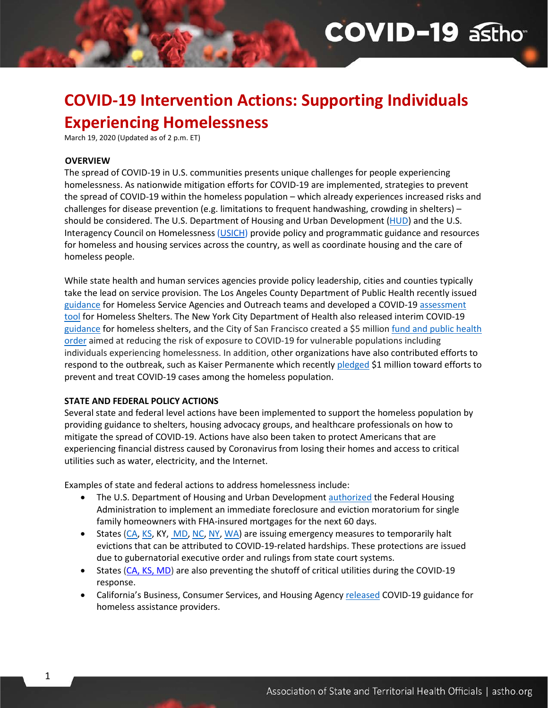# **COVID-19 asthom**

# **COVID-19 Intervention Actions: Supporting Individuals Experiencing Homelessness**

March 19, 2020 (Updated as of 2 p.m. ET)

#### **OVERVIEW**

1

The spread of COVID-19 in U.S. communities presents unique challenges for people experiencing homelessness. As nationwide mitigation efforts for COVID-19 are implemented, strategies to prevent the spread of COVID-19 within the homeless population – which already experiences increased risks and challenges for disease prevention (e.g. limitations to frequent handwashing, crowding in shelters) – should be considered. The U.S. Department of Housing and Urban Development [\(HUD\)](https://www.hud.gov/coronavirus) and the U.S. Interagency Council on Homelessness [\(USICH\)](https://www.usich.gov/covid-19/) provide policy and programmatic guidance and resources for homeless and housing services across the country, as well as coordinate housing and the care of homeless people.

While state health and human services agencies provide policy leadership, cities and counties typically take the lead on service provision. The Los Angeles County Department of Public Health recently issued [guidance](http://www.publichealth.lacounty.gov/media/Coronavirus/GuidanceHomelessServiceAgencies.pdf) for Homeless Service Agencies and Outreach teams and developed a COVID-19 [assessment](http://www.publichealth.lacounty.gov/media/Coronavirus/HomelessSheltersAssessmentTool.pdf)  [tool](http://www.publichealth.lacounty.gov/media/Coronavirus/HomelessSheltersAssessmentTool.pdf) for Homeless Shelters. The New York City Department of Health also released interim COVID-19 [guidance](https://www1.nyc.gov/assets/doh/downloads/pdf/imm/guidance-for-homeless-shelters-covid19.pdf) for homeless shelters, and the City of San Francisco created a \$5 million [fund and public health](https://sfmayor.org/article/san-francisco-increases-covid-19-protections-homeless-residents-and-people-living-single)  [order](https://sfmayor.org/article/san-francisco-increases-covid-19-protections-homeless-residents-and-people-living-single) aimed at reducing the risk of exposure to COVID-19 for vulnerable populations including individuals experiencing homelessness. In addition, other organizations have also contributed efforts to respond to the outbreak, such as Kaiser Permanente which recently [pledged](https://about.kaiserpermanente.org/community-health/news/supporting-covid-19-response-for-u-s-homeless-population) \$1 million toward efforts to prevent and treat COVID-19 cases among the homeless population.

#### **STATE AND FEDERAL POLICY ACTIONS**

Several state and federal level actions have been implemented to support the homeless population by providing guidance to shelters, housing advocacy groups, and healthcare professionals on how to mitigate the spread of COVID-19. Actions have also been taken to protect Americans that are experiencing financial distress caused by Coronavirus from losing their homes and access to critical utilities such as water, electricity, and the Internet.

Examples of state and federal actions to address homelessness include:

- The U.S. Department of Housing and Urban Development [authorized](https://www.hud.gov/press/press_releases_media_advisories/HUD_No_20_042) the Federal Housing Administration to implement an immediate foreclosure and eviction moratorium for single family homeowners with FHA-insured mortgages for the next 60 days.
- States [\(CA,](https://www.gov.ca.gov/2020/03/16/governor-newsom-issues-executive-order-to-protect-renters-and-homeowners-during-covid-19-pandemic/) [KS,](https://www.kansas.com/news/politics-government/article241290866.html) KY, [MD,](https://governor.maryland.gov/2020/03/16/governor-hogan-orders-closure-of-bars-and-restaurants-announces-unprecedented-public-health-surge-to-combat-covid-19-crisis/) [NC,](https://www.nccourts.gov/assets/inline-files/Coronavirus-Update-for-our-Courts-Memo-to-Judicial-Officials-3-15-20.pdf?Tuzuse0oAnyFyzogb4eejpcawxCrf4kl) [NY,](https://ny.curbed.com/2020/3/16/21180842/coronavirus-new-york-state-eviction-moratorium) [WA\)](https://www.facebook.com/WaStateGov/posts/1629427257204382) are issuing emergency measures to temporarily halt evictions that can be attributed to COVID-19-related hardships. These protections are issued due to gubernatorial executive order and rulings from state court systems.
- States [\(CA,](https://www.gov.ca.gov/2020/03/16/governor-newsom-issues-executive-order-to-protect-renters-and-homeowners-during-covid-19-pandemic/) [KS,](https://khap2.kdhe.state.ks.us/NewsRelease/COVID19/Utility_Internet_Executive_Order_20-05-Executed.pdf) [MD\)](https://governor.maryland.gov/2020/03/16/governor-hogan-orders-closure-of-bars-and-restaurants-announces-unprecedented-public-health-surge-to-combat-covid-19-crisis/) are also preventing the shutoff of critical utilities during the COVID-19 response.
- California's Business, Consumer Services, and Housing Agenc[y released](https://www.bcsh.ca.gov/hcfc/documents/covid19_guidelines.pdf) COVID-19 guidance for homeless assistance providers.